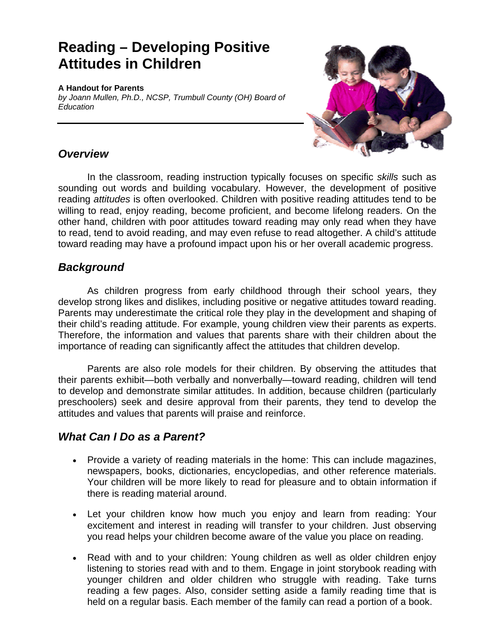# **Reading - Developing Positive Attitudes in Children**  Children

#### **A Handout for Parents**

*by Joann Mullen, Ph.D., NCSP, Trumbull County (OH) Board of Education* 



#### *Overview*

In the classroom, reading instruction typically focuses on specific *skills* such as sounding out words and building vocabulary. However, the development of positive reading *attitudes* is often overlooked. Children with positive reading attitudes tend to be willing to read, enjoy reading, become proficient, and become lifelong readers. On the other hand, children with poor attitudes toward reading may only read when they have to read, tend to avoid reading, and may even refuse to read altogether. A child's attitude toward reading may have a profound impact upon his or her overall academic progress.

### *Background*

As children progress from early childhood through their school years, they develop strong likes and dislikes, including positive or negative attitudes toward reading. Parents may underestimate the critical role they play in the development and shaping of their child's reading attitude. For example, young children view their parents as experts. Therefore, the information and values that parents share with their children about the importance of reading can significantly affect the attitudes that children develop.

Parents are also role models for their children. By observing the attitudes that their parents exhibit—both verbally and nonverbally—toward reading, children will tend to develop and demonstrate similar attitudes. In addition, because children (particularly preschoolers) seek and desire approval from their parents, they tend to develop the attitudes and values that parents will praise and reinforce.

## *What Can I Do as a Parent?*

- Provide a variety of reading materials in the home: This can include magazines, newspapers, books, dictionaries, encyclopedias, and other reference materials. Your children will be more likely to read for pleasure and to obtain information if there is reading material around.
- Let your children know how much you enjoy and learn from reading: Your excitement and interest in reading will transfer to your children. Just observing you read helps your children become aware of the value you place on reading.
- Read with and to your children: Young children as well as older children enjoy listening to stories read with and to them. Engage in joint storybook reading with younger children and older children who struggle with reading. Take turns reading a few pages. Also, consider setting aside a family reading time that is held on a regular basis. Each member of the family can read a portion of a book.